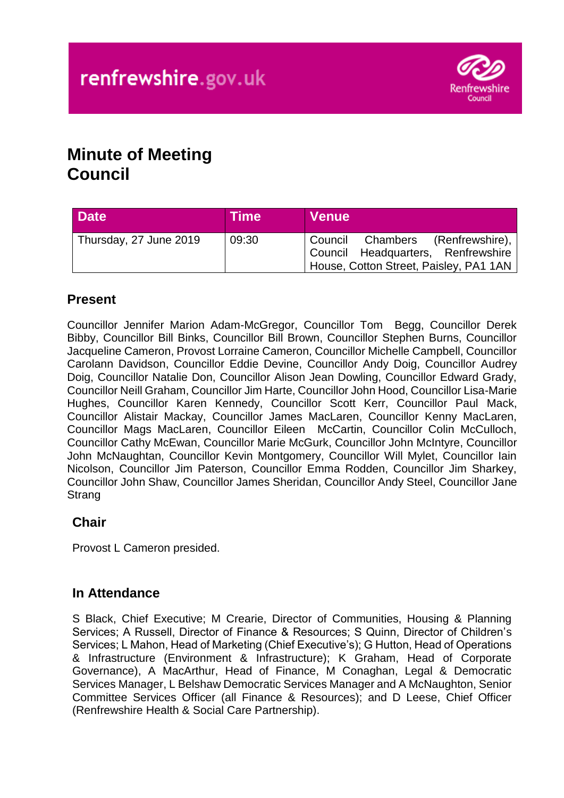

# **Minute of Meeting Council**

| <b>Date</b>            | <b>Time</b> | <b>Venue</b>                                                                                                       |
|------------------------|-------------|--------------------------------------------------------------------------------------------------------------------|
| Thursday, 27 June 2019 | 09:30       | Council Chambers (Renfrewshire),  <br>Council Headquarters, Renfrewshire<br>House, Cotton Street, Paisley, PA1 1AN |

# **Present**

Councillor Jennifer Marion Adam-McGregor, Councillor Tom Begg, Councillor Derek Bibby, Councillor Bill Binks, Councillor Bill Brown, Councillor Stephen Burns, Councillor Jacqueline Cameron, Provost Lorraine Cameron, Councillor Michelle Campbell, Councillor Carolann Davidson, Councillor Eddie Devine, Councillor Andy Doig, Councillor Audrey Doig, Councillor Natalie Don, Councillor Alison Jean Dowling, Councillor Edward Grady, Councillor Neill Graham, Councillor Jim Harte, Councillor John Hood, Councillor Lisa-Marie Hughes, Councillor Karen Kennedy, Councillor Scott Kerr, Councillor Paul Mack, Councillor Alistair Mackay, Councillor James MacLaren, Councillor Kenny MacLaren, Councillor Mags MacLaren, Councillor Eileen McCartin, Councillor Colin McCulloch, Councillor Cathy McEwan, Councillor Marie McGurk, Councillor John McIntyre, Councillor John McNaughtan, Councillor Kevin Montgomery, Councillor Will Mylet, Councillor Iain Nicolson, Councillor Jim Paterson, Councillor Emma Rodden, Councillor Jim Sharkey, Councillor John Shaw, Councillor James Sheridan, Councillor Andy Steel, Councillor Jane **Strang** 

# **Chair**

Provost L Cameron presided.

### **In Attendance**

S Black, Chief Executive; M Crearie, Director of Communities, Housing & Planning Services; A Russell, Director of Finance & Resources; S Quinn, Director of Children's Services; L Mahon, Head of Marketing (Chief Executive's); G Hutton, Head of Operations & Infrastructure (Environment & Infrastructure); K Graham, Head of Corporate Governance), A MacArthur, Head of Finance, M Conaghan, Legal & Democratic Services Manager, L Belshaw Democratic Services Manager and A McNaughton, Senior Committee Services Officer (all Finance & Resources); and D Leese, Chief Officer (Renfrewshire Health & Social Care Partnership).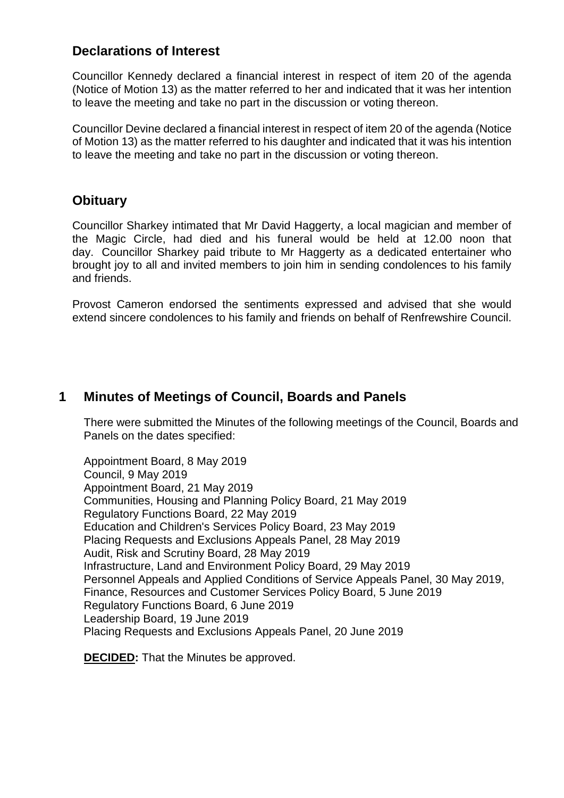### **Declarations of Interest**

Councillor Kennedy declared a financial interest in respect of item 20 of the agenda (Notice of Motion 13) as the matter referred to her and indicated that it was her intention to leave the meeting and take no part in the discussion or voting thereon.

Councillor Devine declared a financial interest in respect of item 20 of the agenda (Notice of Motion 13) as the matter referred to his daughter and indicated that it was his intention to leave the meeting and take no part in the discussion or voting thereon.

### **Obituary**

Councillor Sharkey intimated that Mr David Haggerty, a local magician and member of the Magic Circle, had died and his funeral would be held at 12.00 noon that day. Councillor Sharkey paid tribute to Mr Haggerty as a dedicated entertainer who brought joy to all and invited members to join him in sending condolences to his family and friends.

Provost Cameron endorsed the sentiments expressed and advised that she would extend sincere condolences to his family and friends on behalf of Renfrewshire Council.

### **1 Minutes of Meetings of Council, Boards and Panels**

There were submitted the Minutes of the following meetings of the Council, Boards and Panels on the dates specified:

Appointment Board, 8 May 2019 Council, 9 May 2019 Appointment Board, 21 May 2019 Communities, Housing and Planning Policy Board, 21 May 2019 Regulatory Functions Board, 22 May 2019 Education and Children's Services Policy Board, 23 May 2019 Placing Requests and Exclusions Appeals Panel, 28 May 2019 Audit, Risk and Scrutiny Board, 28 May 2019 Infrastructure, Land and Environment Policy Board, 29 May 2019 Personnel Appeals and Applied Conditions of Service Appeals Panel, 30 May 2019, Finance, Resources and Customer Services Policy Board, 5 June 2019 Regulatory Functions Board, 6 June 2019 Leadership Board, 19 June 2019 Placing Requests and Exclusions Appeals Panel, 20 June 2019

**DECIDED:** That the Minutes be approved.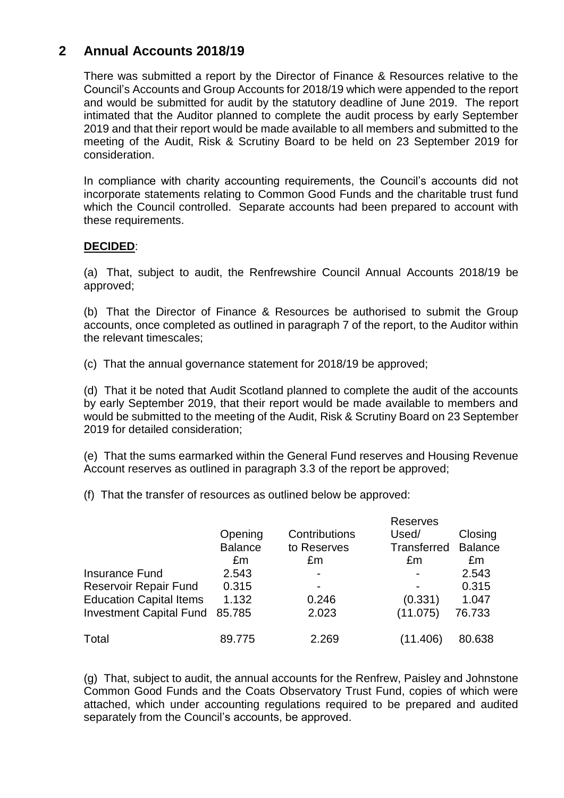## **2 Annual Accounts 2018/19**

There was submitted a report by the Director of Finance & Resources relative to the Council's Accounts and Group Accounts for 2018/19 which were appended to the report and would be submitted for audit by the statutory deadline of June 2019. The report intimated that the Auditor planned to complete the audit process by early September 2019 and that their report would be made available to all members and submitted to the meeting of the Audit, Risk & Scrutiny Board to be held on 23 September 2019 for consideration.

In compliance with charity accounting requirements, the Council's accounts did not incorporate statements relating to Common Good Funds and the charitable trust fund which the Council controlled. Separate accounts had been prepared to account with these requirements.

### **DECIDED**:

(a) That, subject to audit, the Renfrewshire Council Annual Accounts 2018/19 be approved;

(b) That the Director of Finance & Resources be authorised to submit the Group accounts, once completed as outlined in paragraph 7 of the report, to the Auditor within the relevant timescales;

(c) That the annual governance statement for 2018/19 be approved;

(d) That it be noted that Audit Scotland planned to complete the audit of the accounts by early September 2019, that their report would be made available to members and would be submitted to the meeting of the Audit, Risk & Scrutiny Board on 23 September 2019 for detailed consideration;

(e) That the sums earmarked within the General Fund reserves and Housing Revenue Account reserves as outlined in paragraph 3.3 of the report be approved;

(f) That the transfer of resources as outlined below be approved:

|                                |                |               | <b>Reserves</b> |                |
|--------------------------------|----------------|---------------|-----------------|----------------|
|                                | Opening        | Contributions | Used/           | Closing        |
|                                | <b>Balance</b> | to Reserves   | Transferred     | <b>Balance</b> |
|                                | £m             | £m            | £m              | £m             |
| Insurance Fund                 | 2.543          |               |                 | 2.543          |
| <b>Reservoir Repair Fund</b>   | 0.315          | ٠             |                 | 0.315          |
| <b>Education Capital Items</b> | 1.132          | 0.246         | (0.331)         | 1.047          |
| <b>Investment Capital Fund</b> | 85.785         | 2.023         | (11.075)        | 76.733         |
| Total                          | 89.775         | 2.269         | (11.406)        | 80.638         |

(g) That, subject to audit, the annual accounts for the Renfrew, Paisley and Johnstone Common Good Funds and the Coats Observatory Trust Fund, copies of which were attached, which under accounting regulations required to be prepared and audited separately from the Council's accounts, be approved.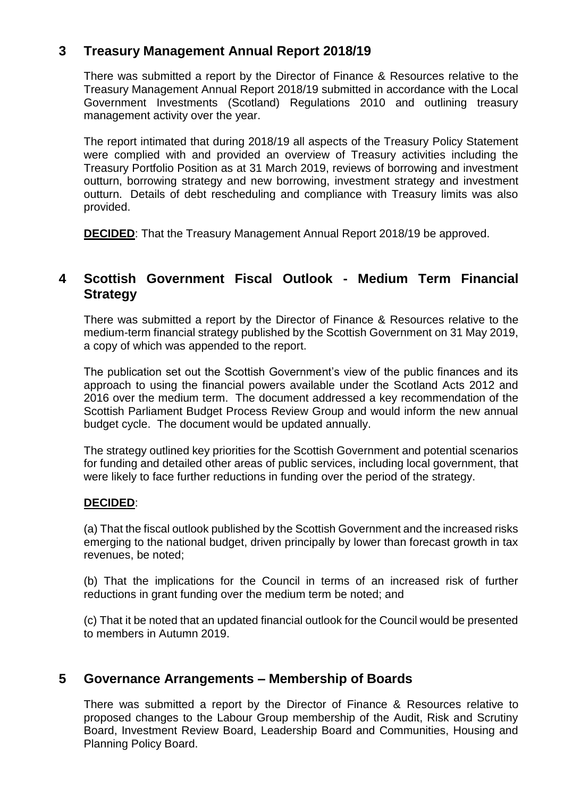## **3 Treasury Management Annual Report 2018/19**

There was submitted a report by the Director of Finance & Resources relative to the Treasury Management Annual Report 2018/19 submitted in accordance with the Local Government Investments (Scotland) Regulations 2010 and outlining treasury management activity over the year.

The report intimated that during 2018/19 all aspects of the Treasury Policy Statement were complied with and provided an overview of Treasury activities including the Treasury Portfolio Position as at 31 March 2019, reviews of borrowing and investment outturn, borrowing strategy and new borrowing, investment strategy and investment outturn. Details of debt rescheduling and compliance with Treasury limits was also provided.

**DECIDED**: That the Treasury Management Annual Report 2018/19 be approved.

### **4 Scottish Government Fiscal Outlook - Medium Term Financial Strategy**

There was submitted a report by the Director of Finance & Resources relative to the medium-term financial strategy published by the Scottish Government on 31 May 2019, a copy of which was appended to the report.

The publication set out the Scottish Government's view of the public finances and its approach to using the financial powers available under the Scotland Acts 2012 and 2016 over the medium term. The document addressed a key recommendation of the Scottish Parliament Budget Process Review Group and would inform the new annual budget cycle. The document would be updated annually.

The strategy outlined key priorities for the Scottish Government and potential scenarios for funding and detailed other areas of public services, including local government, that were likely to face further reductions in funding over the period of the strategy.

### **DECIDED**:

(a) That the fiscal outlook published by the Scottish Government and the increased risks emerging to the national budget, driven principally by lower than forecast growth in tax revenues, be noted;

(b) That the implications for the Council in terms of an increased risk of further reductions in grant funding over the medium term be noted; and

(c) That it be noted that an updated financial outlook for the Council would be presented to members in Autumn 2019.

### **5 Governance Arrangements – Membership of Boards**

There was submitted a report by the Director of Finance & Resources relative to proposed changes to the Labour Group membership of the Audit, Risk and Scrutiny Board, Investment Review Board, Leadership Board and Communities, Housing and Planning Policy Board.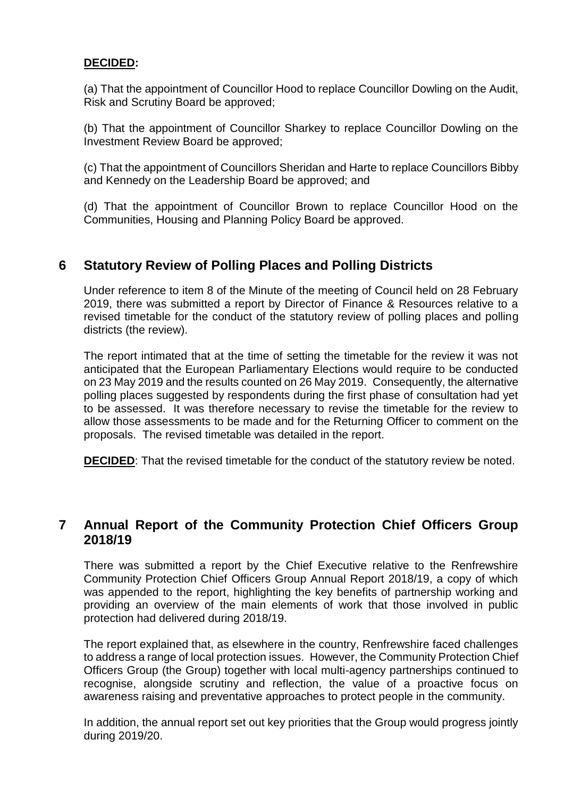#### **DECIDED:**

(a) That the appointment of Councillor Hood to replace Councillor Dowling on the Audit, Risk and Scrutiny Board be approved;

(b) That the appointment of Councillor Sharkey to replace Councillor Dowling on the Investment Review Board be approved;

(c) That the appointment of Councillors Sheridan and Harte to replace Councillors Bibby and Kennedy on the Leadership Board be approved; and

(d) That the appointment of Councillor Brown to replace Councillor Hood on the Communities, Housing and Planning Policy Board be approved.

### **6 Statutory Review of Polling Places and Polling Districts**

Under reference to item 8 of the Minute of the meeting of Council held on 28 February 2019, there was submitted a report by Director of Finance & Resources relative to a revised timetable for the conduct of the statutory review of polling places and polling districts (the review).

The report intimated that at the time of setting the timetable for the review it was not anticipated that the European Parliamentary Elections would require to be conducted on 23 May 2019 and the results counted on 26 May 2019. Consequently, the alternative polling places suggested by respondents during the first phase of consultation had yet to be assessed. It was therefore necessary to revise the timetable for the review to allow those assessments to be made and for the Returning Officer to comment on the proposals. The revised timetable was detailed in the report.

**DECIDED:** That the revised timetable for the conduct of the statutory review be noted.

### **7 Annual Report of the Community Protection Chief Officers Group 2018/19**

There was submitted a report by the Chief Executive relative to the Renfrewshire Community Protection Chief Officers Group Annual Report 2018/19, a copy of which was appended to the report, highlighting the key benefits of partnership working and providing an overview of the main elements of work that those involved in public protection had delivered during 2018/19.

The report explained that, as elsewhere in the country, Renfrewshire faced challenges to address a range of local protection issues. However, the Community Protection Chief Officers Group (the Group) together with local multi-agency partnerships continued to recognise, alongside scrutiny and reflection, the value of a proactive focus on awareness raising and preventative approaches to protect people in the community.

In addition, the annual report set out key priorities that the Group would progress jointly during 2019/20.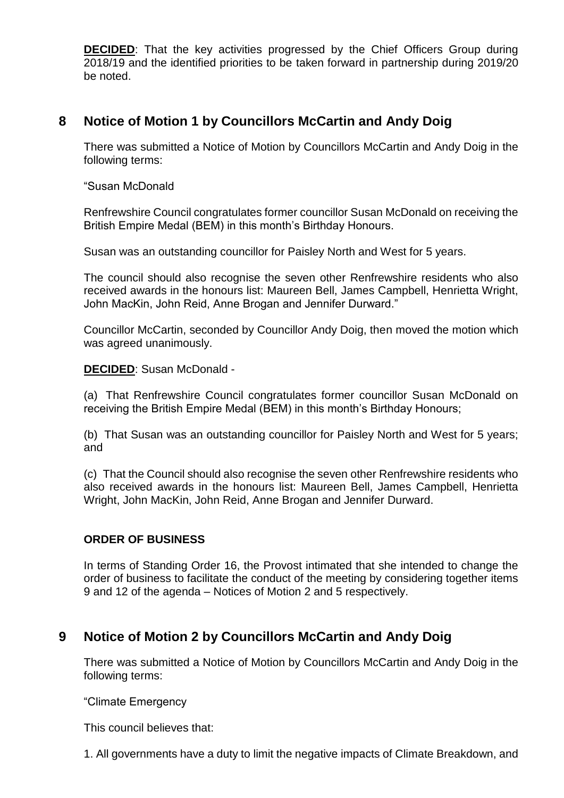**DECIDED:** That the key activities progressed by the Chief Officers Group during 2018/19 and the identified priorities to be taken forward in partnership during 2019/20 be noted.

# **8 Notice of Motion 1 by Councillors McCartin and Andy Doig**

There was submitted a Notice of Motion by Councillors McCartin and Andy Doig in the following terms:

"Susan McDonald

Renfrewshire Council congratulates former councillor Susan McDonald on receiving the British Empire Medal (BEM) in this month's Birthday Honours.

Susan was an outstanding councillor for Paisley North and West for 5 years.

The council should also recognise the seven other Renfrewshire residents who also received awards in the honours list: Maureen Bell, James Campbell, Henrietta Wright, John MacKin, John Reid, Anne Brogan and Jennifer Durward."

Councillor McCartin, seconded by Councillor Andy Doig, then moved the motion which was agreed unanimously.

**DECIDED**: Susan McDonald -

(a) That Renfrewshire Council congratulates former councillor Susan McDonald on receiving the British Empire Medal (BEM) in this month's Birthday Honours;

(b) That Susan was an outstanding councillor for Paisley North and West for 5 years; and

(c) That the Council should also recognise the seven other Renfrewshire residents who also received awards in the honours list: Maureen Bell, James Campbell, Henrietta Wright, John MacKin, John Reid, Anne Brogan and Jennifer Durward.

### **ORDER OF BUSINESS**

In terms of Standing Order 16, the Provost intimated that she intended to change the order of business to facilitate the conduct of the meeting by considering together items 9 and 12 of the agenda – Notices of Motion 2 and 5 respectively.

### **9 Notice of Motion 2 by Councillors McCartin and Andy Doig**

There was submitted a Notice of Motion by Councillors McCartin and Andy Doig in the following terms:

"Climate Emergency

This council believes that:

1. All governments have a duty to limit the negative impacts of Climate Breakdown, and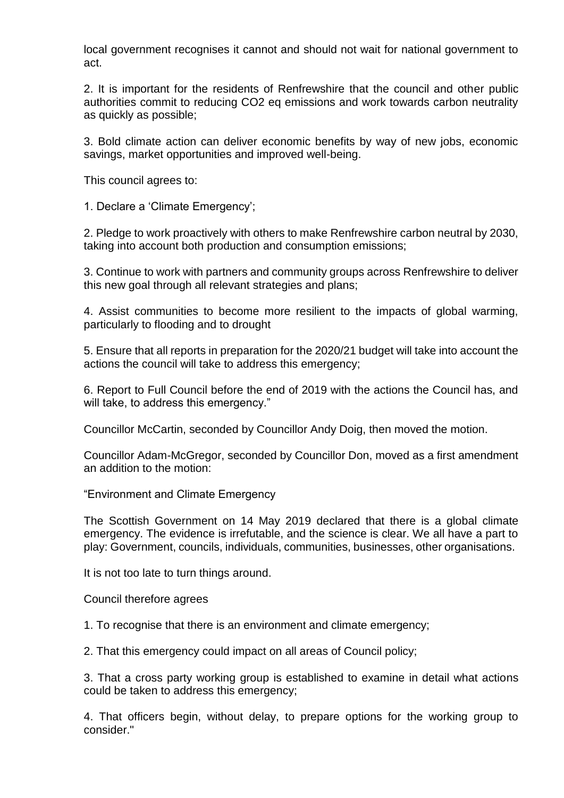local government recognises it cannot and should not wait for national government to act.

2. It is important for the residents of Renfrewshire that the council and other public authorities commit to reducing CO2 eq emissions and work towards carbon neutrality as quickly as possible;

3. Bold climate action can deliver economic benefits by way of new jobs, economic savings, market opportunities and improved well-being.

This council agrees to:

1. Declare a 'Climate Emergency';

2. Pledge to work proactively with others to make Renfrewshire carbon neutral by 2030, taking into account both production and consumption emissions;

3. Continue to work with partners and community groups across Renfrewshire to deliver this new goal through all relevant strategies and plans;

4. Assist communities to become more resilient to the impacts of global warming, particularly to flooding and to drought

5. Ensure that all reports in preparation for the 2020/21 budget will take into account the actions the council will take to address this emergency;

6. Report to Full Council before the end of 2019 with the actions the Council has, and will take, to address this emergency."

Councillor McCartin, seconded by Councillor Andy Doig, then moved the motion.

Councillor Adam-McGregor, seconded by Councillor Don, moved as a first amendment an addition to the motion:

"Environment and Climate Emergency

The Scottish Government on 14 May 2019 declared that there is a global climate emergency. The evidence is irrefutable, and the science is clear. We all have a part to play: Government, councils, individuals, communities, businesses, other organisations.

It is not too late to turn things around.

Council therefore agrees

1. To recognise that there is an environment and climate emergency;

2. That this emergency could impact on all areas of Council policy;

3. That a cross party working group is established to examine in detail what actions could be taken to address this emergency;

4. That officers begin, without delay, to prepare options for the working group to consider."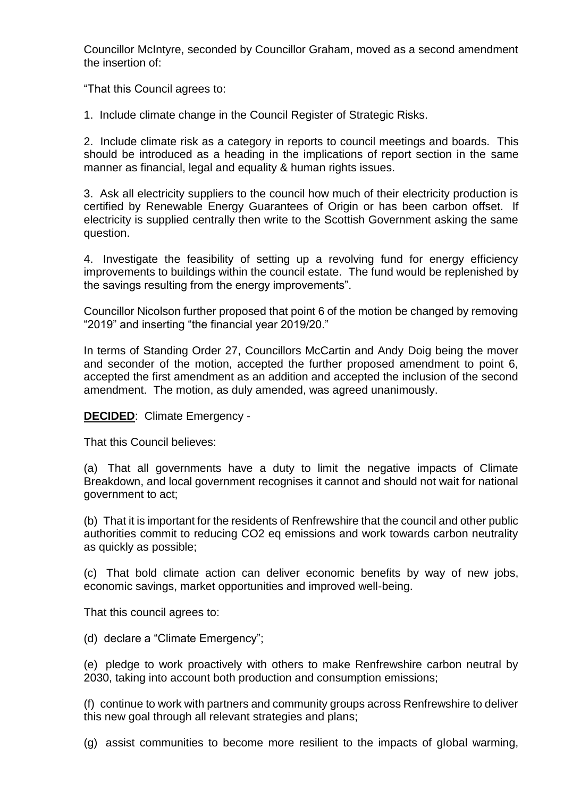Councillor McIntyre, seconded by Councillor Graham, moved as a second amendment the insertion of:

"That this Council agrees to:

1. Include climate change in the Council Register of Strategic Risks.

2. Include climate risk as a category in reports to council meetings and boards. This should be introduced as a heading in the implications of report section in the same manner as financial, legal and equality & human rights issues.

3. Ask all electricity suppliers to the council how much of their electricity production is certified by Renewable Energy Guarantees of Origin or has been carbon offset. If electricity is supplied centrally then write to the Scottish Government asking the same question.

4. Investigate the feasibility of setting up a revolving fund for energy efficiency improvements to buildings within the council estate. The fund would be replenished by the savings resulting from the energy improvements".

Councillor Nicolson further proposed that point 6 of the motion be changed by removing "2019" and inserting "the financial year 2019/20."

In terms of Standing Order 27, Councillors McCartin and Andy Doig being the mover and seconder of the motion, accepted the further proposed amendment to point 6, accepted the first amendment as an addition and accepted the inclusion of the second amendment. The motion, as duly amended, was agreed unanimously.

**DECIDED**: Climate Emergency -

That this Council believes:

(a) That all governments have a duty to limit the negative impacts of Climate Breakdown, and local government recognises it cannot and should not wait for national government to act;

(b) That it is important for the residents of Renfrewshire that the council and other public authorities commit to reducing CO2 eq emissions and work towards carbon neutrality as quickly as possible;

(c) That bold climate action can deliver economic benefits by way of new jobs, economic savings, market opportunities and improved well-being.

That this council agrees to:

(d) declare a "Climate Emergency";

(e) pledge to work proactively with others to make Renfrewshire carbon neutral by 2030, taking into account both production and consumption emissions;

(f) continue to work with partners and community groups across Renfrewshire to deliver this new goal through all relevant strategies and plans;

(g) assist communities to become more resilient to the impacts of global warming,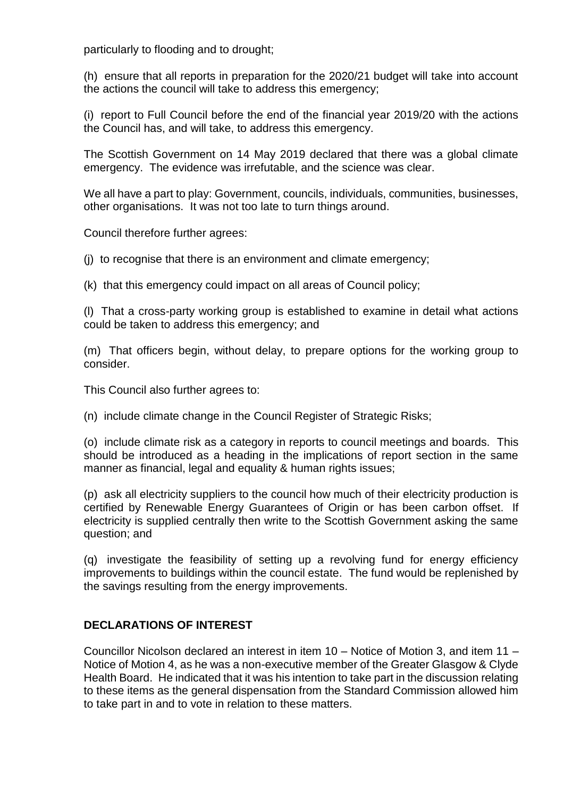particularly to flooding and to drought;

(h) ensure that all reports in preparation for the 2020/21 budget will take into account the actions the council will take to address this emergency;

(i) report to Full Council before the end of the financial year 2019/20 with the actions the Council has, and will take, to address this emergency.

The Scottish Government on 14 May 2019 declared that there was a global climate emergency. The evidence was irrefutable, and the science was clear.

We all have a part to play: Government, councils, individuals, communities, businesses, other organisations. It was not too late to turn things around.

Council therefore further agrees:

(j) to recognise that there is an environment and climate emergency;

(k) that this emergency could impact on all areas of Council policy;

(l) That a cross-party working group is established to examine in detail what actions could be taken to address this emergency; and

(m) That officers begin, without delay, to prepare options for the working group to consider.

This Council also further agrees to:

(n) include climate change in the Council Register of Strategic Risks;

(o) include climate risk as a category in reports to council meetings and boards. This should be introduced as a heading in the implications of report section in the same manner as financial, legal and equality & human rights issues;

(p) ask all electricity suppliers to the council how much of their electricity production is certified by Renewable Energy Guarantees of Origin or has been carbon offset. If electricity is supplied centrally then write to the Scottish Government asking the same question; and

(q) investigate the feasibility of setting up a revolving fund for energy efficiency improvements to buildings within the council estate. The fund would be replenished by the savings resulting from the energy improvements.

### **DECLARATIONS OF INTEREST**

Councillor Nicolson declared an interest in item 10 – Notice of Motion 3, and item 11 – Notice of Motion 4, as he was a non-executive member of the Greater Glasgow & Clyde Health Board. He indicated that it was his intention to take part in the discussion relating to these items as the general dispensation from the Standard Commission allowed him to take part in and to vote in relation to these matters.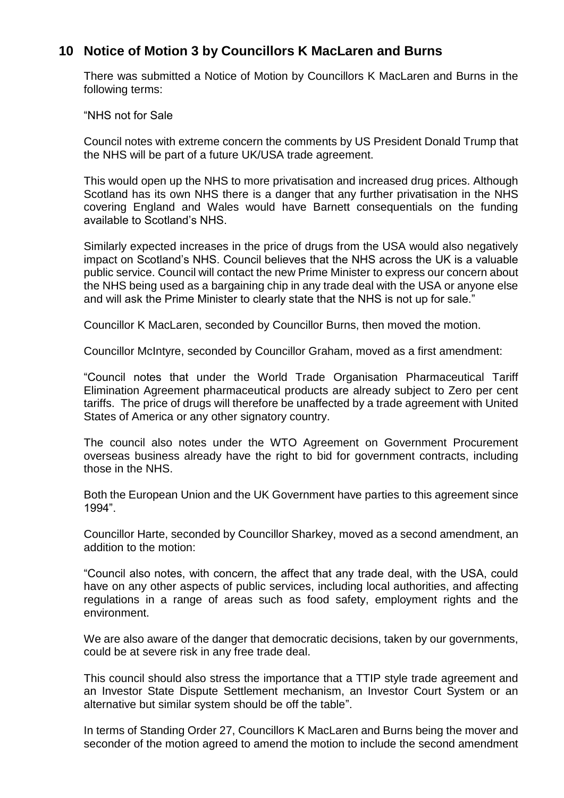### **10 Notice of Motion 3 by Councillors K MacLaren and Burns**

There was submitted a Notice of Motion by Councillors K MacLaren and Burns in the following terms:

"NHS not for Sale

Council notes with extreme concern the comments by US President Donald Trump that the NHS will be part of a future UK/USA trade agreement.

This would open up the NHS to more privatisation and increased drug prices. Although Scotland has its own NHS there is a danger that any further privatisation in the NHS covering England and Wales would have Barnett consequentials on the funding available to Scotland's NHS.

Similarly expected increases in the price of drugs from the USA would also negatively impact on Scotland's NHS. Council believes that the NHS across the UK is a valuable public service. Council will contact the new Prime Minister to express our concern about the NHS being used as a bargaining chip in any trade deal with the USA or anyone else and will ask the Prime Minister to clearly state that the NHS is not up for sale."

Councillor K MacLaren, seconded by Councillor Burns, then moved the motion.

Councillor McIntyre, seconded by Councillor Graham, moved as a first amendment:

"Council notes that under the World Trade Organisation Pharmaceutical Tariff Elimination Agreement pharmaceutical products are already subject to Zero per cent tariffs. The price of drugs will therefore be unaffected by a trade agreement with United States of America or any other signatory country.

The council also notes under the WTO Agreement on Government Procurement overseas business already have the right to bid for government contracts, including those in the NHS.

Both the European Union and the UK Government have parties to this agreement since 1994".

Councillor Harte, seconded by Councillor Sharkey, moved as a second amendment, an addition to the motion:

"Council also notes, with concern, the affect that any trade deal, with the USA, could have on any other aspects of public services, including local authorities, and affecting regulations in a range of areas such as food safety, employment rights and the environment.

We are also aware of the danger that democratic decisions, taken by our governments, could be at severe risk in any free trade deal.

This council should also stress the importance that a TTIP style trade agreement and an Investor State Dispute Settlement mechanism, an Investor Court System or an alternative but similar system should be off the table".

In terms of Standing Order 27, Councillors K MacLaren and Burns being the mover and seconder of the motion agreed to amend the motion to include the second amendment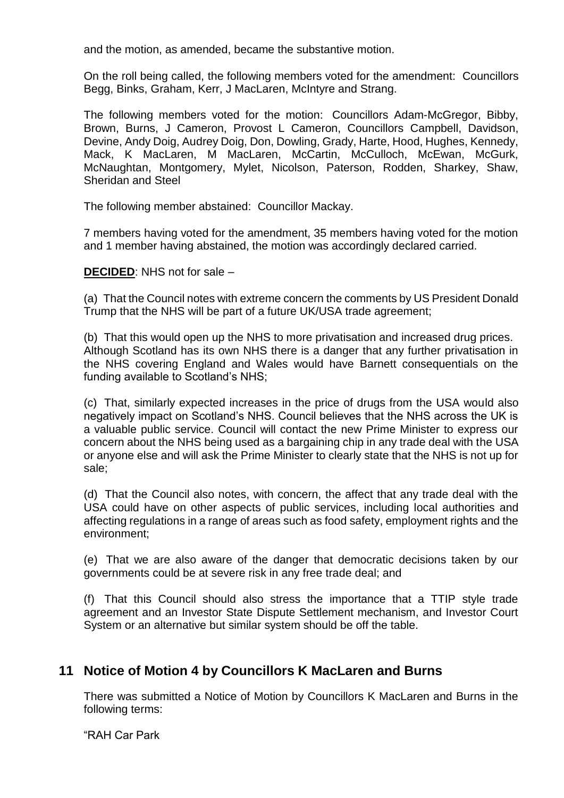and the motion, as amended, became the substantive motion.

On the roll being called, the following members voted for the amendment: Councillors Begg, Binks, Graham, Kerr, J MacLaren, McIntyre and Strang.

The following members voted for the motion: Councillors Adam-McGregor, Bibby, Brown, Burns, J Cameron, Provost L Cameron, Councillors Campbell, Davidson, Devine, Andy Doig, Audrey Doig, Don, Dowling, Grady, Harte, Hood, Hughes, Kennedy, Mack, K MacLaren, M MacLaren, McCartin, McCulloch, McEwan, McGurk, McNaughtan, Montgomery, Mylet, Nicolson, Paterson, Rodden, Sharkey, Shaw, Sheridan and Steel

The following member abstained: Councillor Mackay.

7 members having voted for the amendment, 35 members having voted for the motion and 1 member having abstained, the motion was accordingly declared carried.

**DECIDED**: NHS not for sale –

(a) That the Council notes with extreme concern the comments by US President Donald Trump that the NHS will be part of a future UK/USA trade agreement;

(b) That this would open up the NHS to more privatisation and increased drug prices. Although Scotland has its own NHS there is a danger that any further privatisation in the NHS covering England and Wales would have Barnett consequentials on the funding available to Scotland's NHS;

(c) That, similarly expected increases in the price of drugs from the USA would also negatively impact on Scotland's NHS. Council believes that the NHS across the UK is a valuable public service. Council will contact the new Prime Minister to express our concern about the NHS being used as a bargaining chip in any trade deal with the USA or anyone else and will ask the Prime Minister to clearly state that the NHS is not up for sale;

(d) That the Council also notes, with concern, the affect that any trade deal with the USA could have on other aspects of public services, including local authorities and affecting regulations in a range of areas such as food safety, employment rights and the environment;

(e) That we are also aware of the danger that democratic decisions taken by our governments could be at severe risk in any free trade deal; and

(f) That this Council should also stress the importance that a TTIP style trade agreement and an Investor State Dispute Settlement mechanism, and Investor Court System or an alternative but similar system should be off the table.

# **11 Notice of Motion 4 by Councillors K MacLaren and Burns**

There was submitted a Notice of Motion by Councillors K MacLaren and Burns in the following terms:

"RAH Car Park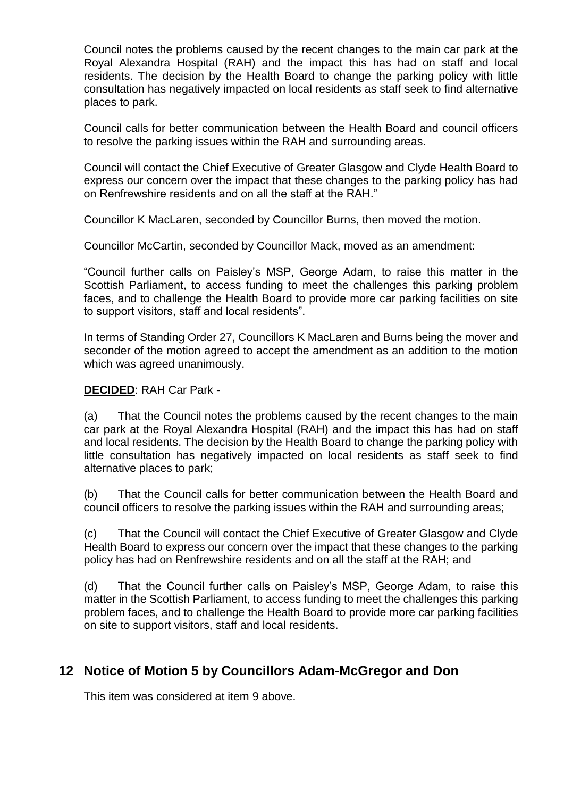Council notes the problems caused by the recent changes to the main car park at the Royal Alexandra Hospital (RAH) and the impact this has had on staff and local residents. The decision by the Health Board to change the parking policy with little consultation has negatively impacted on local residents as staff seek to find alternative places to park.

Council calls for better communication between the Health Board and council officers to resolve the parking issues within the RAH and surrounding areas.

Council will contact the Chief Executive of Greater Glasgow and Clyde Health Board to express our concern over the impact that these changes to the parking policy has had on Renfrewshire residents and on all the staff at the RAH."

Councillor K MacLaren, seconded by Councillor Burns, then moved the motion.

Councillor McCartin, seconded by Councillor Mack, moved as an amendment:

"Council further calls on Paisley's MSP, George Adam, to raise this matter in the Scottish Parliament, to access funding to meet the challenges this parking problem faces, and to challenge the Health Board to provide more car parking facilities on site to support visitors, staff and local residents".

In terms of Standing Order 27, Councillors K MacLaren and Burns being the mover and seconder of the motion agreed to accept the amendment as an addition to the motion which was agreed unanimously.

#### **DECIDED**: RAH Car Park -

(a) That the Council notes the problems caused by the recent changes to the main car park at the Royal Alexandra Hospital (RAH) and the impact this has had on staff and local residents. The decision by the Health Board to change the parking policy with little consultation has negatively impacted on local residents as staff seek to find alternative places to park;

(b) That the Council calls for better communication between the Health Board and council officers to resolve the parking issues within the RAH and surrounding areas;

(c) That the Council will contact the Chief Executive of Greater Glasgow and Clyde Health Board to express our concern over the impact that these changes to the parking policy has had on Renfrewshire residents and on all the staff at the RAH; and

(d) That the Council further calls on Paisley's MSP, George Adam, to raise this matter in the Scottish Parliament, to access funding to meet the challenges this parking problem faces, and to challenge the Health Board to provide more car parking facilities on site to support visitors, staff and local residents.

### **12 Notice of Motion 5 by Councillors Adam-McGregor and Don**

This item was considered at item 9 above.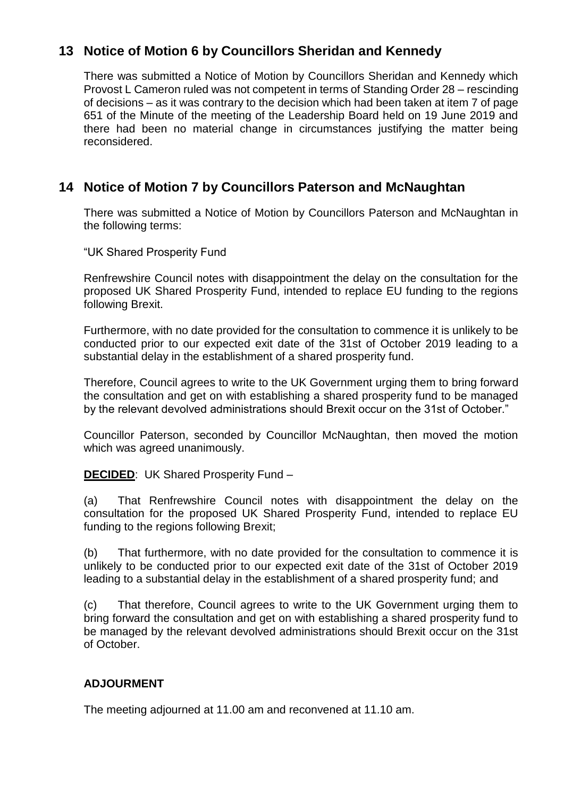# **13 Notice of Motion 6 by Councillors Sheridan and Kennedy**

There was submitted a Notice of Motion by Councillors Sheridan and Kennedy which Provost L Cameron ruled was not competent in terms of Standing Order 28 – rescinding of decisions – as it was contrary to the decision which had been taken at item 7 of page 651 of the Minute of the meeting of the Leadership Board held on 19 June 2019 and there had been no material change in circumstances justifying the matter being reconsidered.

# **14 Notice of Motion 7 by Councillors Paterson and McNaughtan**

There was submitted a Notice of Motion by Councillors Paterson and McNaughtan in the following terms:

"UK Shared Prosperity Fund

Renfrewshire Council notes with disappointment the delay on the consultation for the proposed UK Shared Prosperity Fund, intended to replace EU funding to the regions following Brexit.

Furthermore, with no date provided for the consultation to commence it is unlikely to be conducted prior to our expected exit date of the 31st of October 2019 leading to a substantial delay in the establishment of a shared prosperity fund.

Therefore, Council agrees to write to the UK Government urging them to bring forward the consultation and get on with establishing a shared prosperity fund to be managed by the relevant devolved administrations should Brexit occur on the 31st of October."

Councillor Paterson, seconded by Councillor McNaughtan, then moved the motion which was agreed unanimously.

**DECIDED**: UK Shared Prosperity Fund –

(a) That Renfrewshire Council notes with disappointment the delay on the consultation for the proposed UK Shared Prosperity Fund, intended to replace EU funding to the regions following Brexit;

(b) That furthermore, with no date provided for the consultation to commence it is unlikely to be conducted prior to our expected exit date of the 31st of October 2019 leading to a substantial delay in the establishment of a shared prosperity fund; and

(c) That therefore, Council agrees to write to the UK Government urging them to bring forward the consultation and get on with establishing a shared prosperity fund to be managed by the relevant devolved administrations should Brexit occur on the 31st of October.

### **ADJOURMENT**

The meeting adjourned at 11.00 am and reconvened at 11.10 am.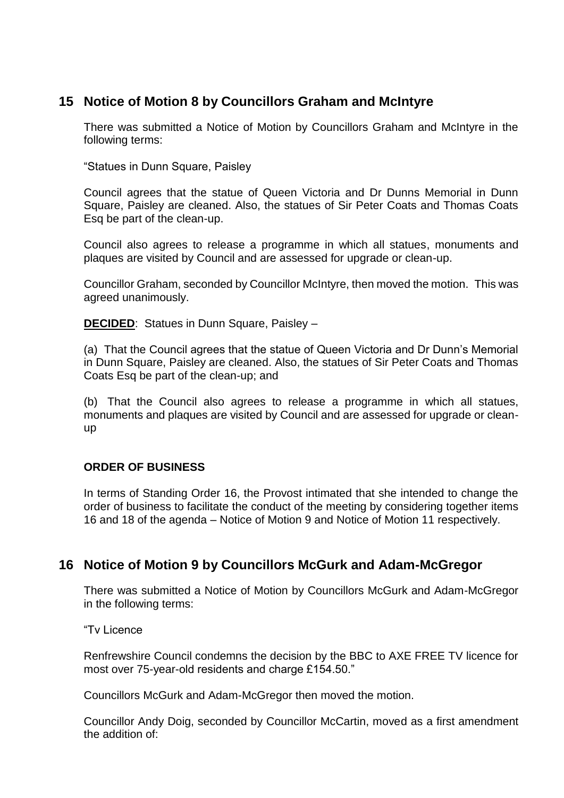### **15 Notice of Motion 8 by Councillors Graham and McIntyre**

There was submitted a Notice of Motion by Councillors Graham and McIntyre in the following terms:

"Statues in Dunn Square, Paisley

Council agrees that the statue of Queen Victoria and Dr Dunns Memorial in Dunn Square, Paisley are cleaned. Also, the statues of Sir Peter Coats and Thomas Coats Esq be part of the clean-up.

Council also agrees to release a programme in which all statues, monuments and plaques are visited by Council and are assessed for upgrade or clean-up.

Councillor Graham, seconded by Councillor McIntyre, then moved the motion. This was agreed unanimously.

**DECIDED:** Statues in Dunn Square, Paisley –

(a) That the Council agrees that the statue of Queen Victoria and Dr Dunn's Memorial in Dunn Square, Paisley are cleaned. Also, the statues of Sir Peter Coats and Thomas Coats Esq be part of the clean-up; and

(b) That the Council also agrees to release a programme in which all statues, monuments and plaques are visited by Council and are assessed for upgrade or cleanup

### **ORDER OF BUSINESS**

In terms of Standing Order 16, the Provost intimated that she intended to change the order of business to facilitate the conduct of the meeting by considering together items 16 and 18 of the agenda – Notice of Motion 9 and Notice of Motion 11 respectively.

### **16 Notice of Motion 9 by Councillors McGurk and Adam-McGregor**

There was submitted a Notice of Motion by Councillors McGurk and Adam-McGregor in the following terms:

"Tv Licence

Renfrewshire Council condemns the decision by the BBC to AXE FREE TV licence for most over 75-year-old residents and charge £154.50."

Councillors McGurk and Adam-McGregor then moved the motion.

Councillor Andy Doig, seconded by Councillor McCartin, moved as a first amendment the addition of: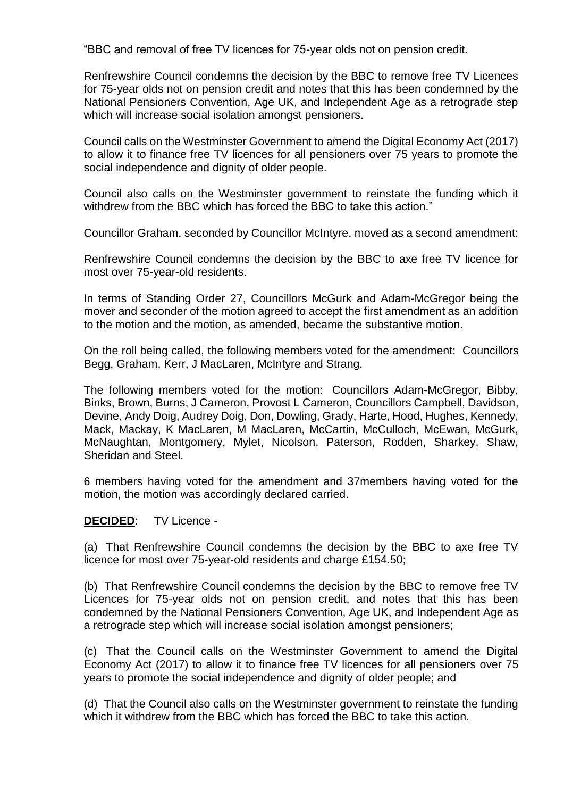"BBC and removal of free TV licences for 75-year olds not on pension credit.

Renfrewshire Council condemns the decision by the BBC to remove free TV Licences for 75-year olds not on pension credit and notes that this has been condemned by the National Pensioners Convention, Age UK, and Independent Age as a retrograde step which will increase social isolation amongst pensioners.

Council calls on the Westminster Government to amend the Digital Economy Act (2017) to allow it to finance free TV licences for all pensioners over 75 years to promote the social independence and dignity of older people.

Council also calls on the Westminster government to reinstate the funding which it withdrew from the BBC which has forced the BBC to take this action."

Councillor Graham, seconded by Councillor McIntyre, moved as a second amendment:

Renfrewshire Council condemns the decision by the BBC to axe free TV licence for most over 75-year-old residents.

In terms of Standing Order 27, Councillors McGurk and Adam-McGregor being the mover and seconder of the motion agreed to accept the first amendment as an addition to the motion and the motion, as amended, became the substantive motion.

On the roll being called, the following members voted for the amendment: Councillors Begg, Graham, Kerr, J MacLaren, McIntyre and Strang.

The following members voted for the motion: Councillors Adam-McGregor, Bibby, Binks, Brown, Burns, J Cameron, Provost L Cameron, Councillors Campbell, Davidson, Devine, Andy Doig, Audrey Doig, Don, Dowling, Grady, Harte, Hood, Hughes, Kennedy, Mack, Mackay, K MacLaren, M MacLaren, McCartin, McCulloch, McEwan, McGurk, McNaughtan, Montgomery, Mylet, Nicolson, Paterson, Rodden, Sharkey, Shaw, Sheridan and Steel.

6 members having voted for the amendment and 37members having voted for the motion, the motion was accordingly declared carried.

#### **DECIDED**: TV Licence -

(a) That Renfrewshire Council condemns the decision by the BBC to axe free TV licence for most over 75-year-old residents and charge £154.50;

(b) That Renfrewshire Council condemns the decision by the BBC to remove free TV Licences for 75-year olds not on pension credit, and notes that this has been condemned by the National Pensioners Convention, Age UK, and Independent Age as a retrograde step which will increase social isolation amongst pensioners;

(c) That the Council calls on the Westminster Government to amend the Digital Economy Act (2017) to allow it to finance free TV licences for all pensioners over 75 years to promote the social independence and dignity of older people; and

(d) That the Council also calls on the Westminster government to reinstate the funding which it withdrew from the BBC which has forced the BBC to take this action.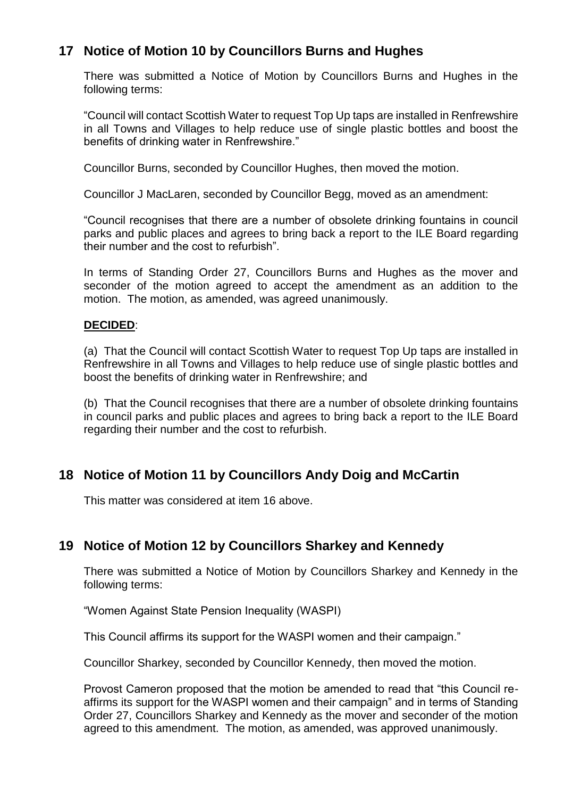# **17 Notice of Motion 10 by Councillors Burns and Hughes**

There was submitted a Notice of Motion by Councillors Burns and Hughes in the following terms:

"Council will contact Scottish Water to request Top Up taps are installed in Renfrewshire in all Towns and Villages to help reduce use of single plastic bottles and boost the benefits of drinking water in Renfrewshire."

Councillor Burns, seconded by Councillor Hughes, then moved the motion.

Councillor J MacLaren, seconded by Councillor Begg, moved as an amendment:

"Council recognises that there are a number of obsolete drinking fountains in council parks and public places and agrees to bring back a report to the ILE Board regarding their number and the cost to refurbish".

In terms of Standing Order 27, Councillors Burns and Hughes as the mover and seconder of the motion agreed to accept the amendment as an addition to the motion. The motion, as amended, was agreed unanimously.

#### **DECIDED**:

(a) That the Council will contact Scottish Water to request Top Up taps are installed in Renfrewshire in all Towns and Villages to help reduce use of single plastic bottles and boost the benefits of drinking water in Renfrewshire; and

(b) That the Council recognises that there are a number of obsolete drinking fountains in council parks and public places and agrees to bring back a report to the ILE Board regarding their number and the cost to refurbish.

### **18 Notice of Motion 11 by Councillors Andy Doig and McCartin**

This matter was considered at item 16 above.

### **19 Notice of Motion 12 by Councillors Sharkey and Kennedy**

There was submitted a Notice of Motion by Councillors Sharkey and Kennedy in the following terms:

"Women Against State Pension Inequality (WASPI)

This Council affirms its support for the WASPI women and their campaign."

Councillor Sharkey, seconded by Councillor Kennedy, then moved the motion.

Provost Cameron proposed that the motion be amended to read that "this Council reaffirms its support for the WASPI women and their campaign" and in terms of Standing Order 27, Councillors Sharkey and Kennedy as the mover and seconder of the motion agreed to this amendment. The motion, as amended, was approved unanimously.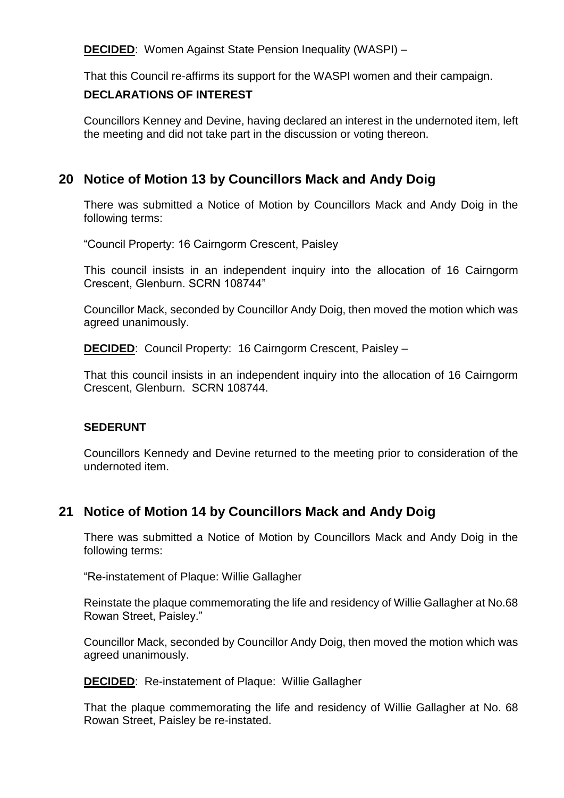**DECIDED**: Women Against State Pension Inequality (WASPI) –

That this Council re-affirms its support for the WASPI women and their campaign.

### **DECLARATIONS OF INTEREST**

Councillors Kenney and Devine, having declared an interest in the undernoted item, left the meeting and did not take part in the discussion or voting thereon.

# **20 Notice of Motion 13 by Councillors Mack and Andy Doig**

There was submitted a Notice of Motion by Councillors Mack and Andy Doig in the following terms:

"Council Property: 16 Cairngorm Crescent, Paisley

This council insists in an independent inquiry into the allocation of 16 Cairngorm Crescent, Glenburn. SCRN 108744"

Councillor Mack, seconded by Councillor Andy Doig, then moved the motion which was agreed unanimously.

**DECIDED**: Council Property: 16 Cairngorm Crescent, Paisley –

That this council insists in an independent inquiry into the allocation of 16 Cairngorm Crescent, Glenburn. SCRN 108744.

### **SEDERUNT**

Councillors Kennedy and Devine returned to the meeting prior to consideration of the undernoted item.

# **21 Notice of Motion 14 by Councillors Mack and Andy Doig**

There was submitted a Notice of Motion by Councillors Mack and Andy Doig in the following terms:

"Re-instatement of Plaque: Willie Gallagher

Reinstate the plaque commemorating the life and residency of Willie Gallagher at No.68 Rowan Street, Paisley."

Councillor Mack, seconded by Councillor Andy Doig, then moved the motion which was agreed unanimously.

**DECIDED**: Re-instatement of Plaque: Willie Gallagher

That the plaque commemorating the life and residency of Willie Gallagher at No. 68 Rowan Street, Paisley be re-instated.